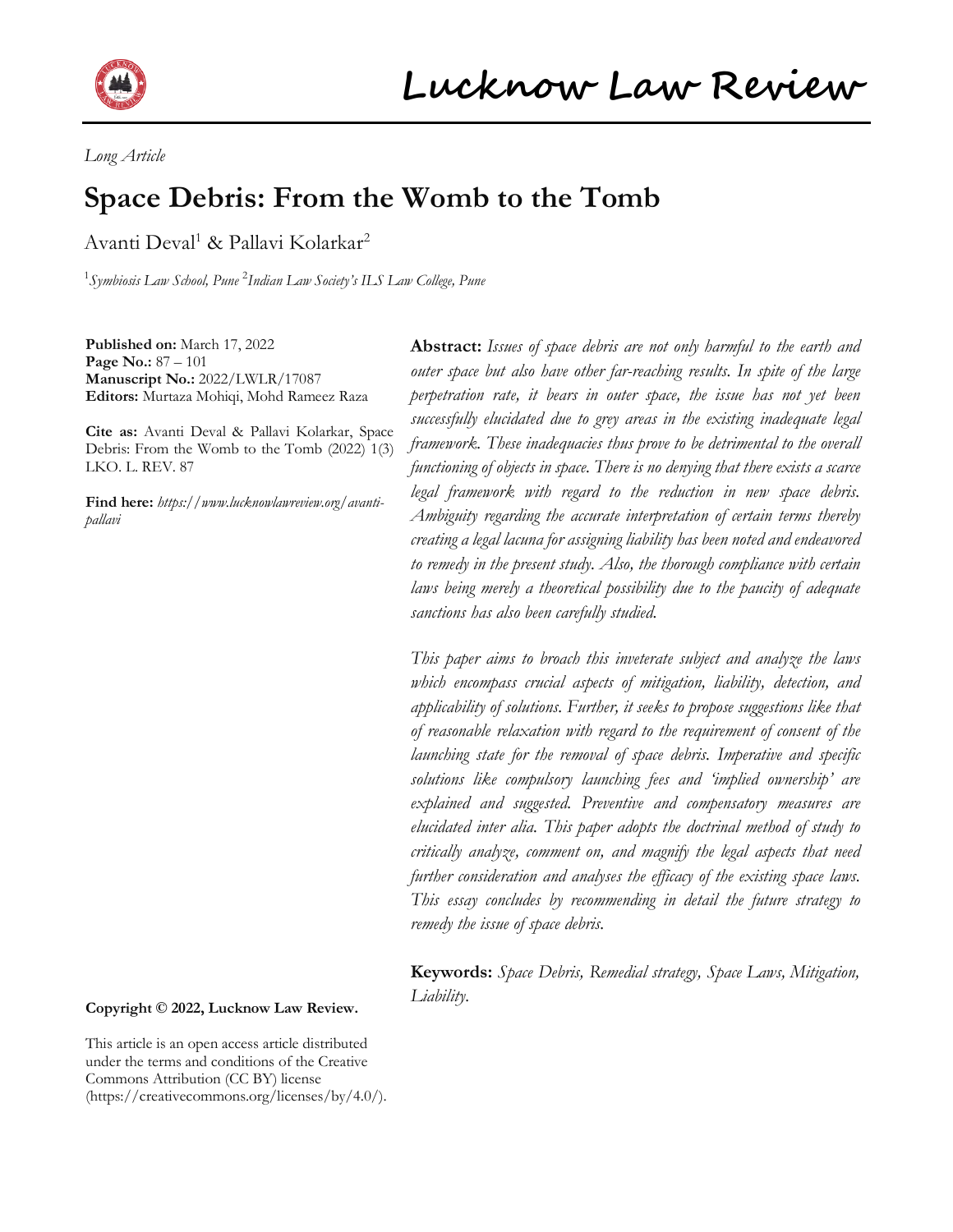

*Long Article*

# **Space Debris: From the Womb to the Tomb**

Avanti Deval<sup>1</sup> & Pallavi Kolarkar<sup>2</sup>

1 *Symbiosis Law School, Pune* <sup>2</sup> *Indian Law Society's ILS Law College, Pune*

**Published on:** March 17, 2022 **Page No.:** 87 – 101 **Manuscript No.:** 2022/LWLR/17087 **Editors:** Murtaza Mohiqi, Mohd Rameez Raza

**Cite as:** Avanti Deval & Pallavi Kolarkar, Space Debris: From the Womb to the Tomb (2022) 1(3) LKO. L. REV. 87

**Find here:** *[https://www.lucknowlawreview.org/avanti](https://www.lucknowlawreview.org/avanti-pallavi)[pallavi](https://www.lucknowlawreview.org/avanti-pallavi)*

**Abstract:** *Issues of space debris are not only harmful to the earth and outer space but also have other far-reaching results. In spite of the large perpetration rate, it bears in outer space, the issue has not yet been successfully elucidated due to grey areas in the existing inadequate legal framework. These inadequacies thus prove to be detrimental to the overall functioning of objects in space. There is no denying that there exists a scarce legal framework with regard to the reduction in new space debris. Ambiguity regarding the accurate interpretation of certain terms thereby creating a legal lacuna for assigning liability has been noted and endeavored to remedy in the present study. Also, the thorough compliance with certain laws being merely a theoretical possibility due to the paucity of adequate sanctions has also been carefully studied.*

*This paper aims to broach this inveterate subject and analyze the laws which encompass crucial aspects of mitigation, liability, detection, and applicability of solutions. Further, it seeks to propose suggestions like that of reasonable relaxation with regard to the requirement of consent of the launching state for the removal of space debris. Imperative and specific solutions like compulsory launching fees and 'implied ownership' are explained and suggested. Preventive and compensatory measures are elucidated inter alia. This paper adopts the doctrinal method of study to critically analyze, comment on, and magnify the legal aspects that need further consideration and analyses the efficacy of the existing space laws. This essay concludes by recommending in detail the future strategy to remedy the issue of space debris.*

**Keywords:** *Space Debris, Remedial strategy, Space Laws, Mitigation, Liability.*

#### **Copyright © 2022, Lucknow Law Review.**

This article is an open access article distributed under the terms and conditions of the Creative Commons Attribution (CC BY) license (https://creativecommons.org/licenses/by/4.0/).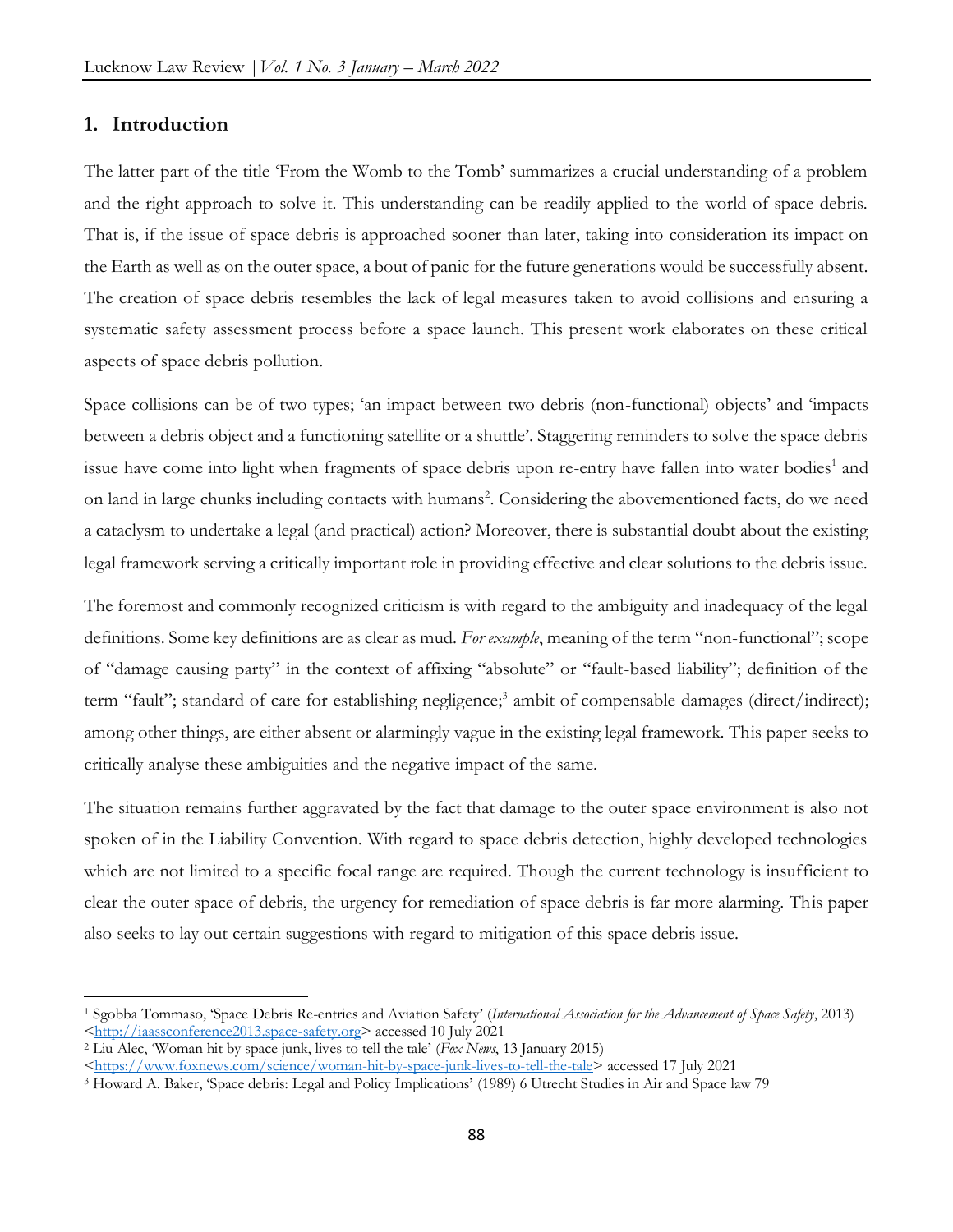#### **1. Introduction**

 $\overline{a}$ 

The latter part of the title 'From the Womb to the Tomb' summarizes a crucial understanding of a problem and the right approach to solve it. This understanding can be readily applied to the world of space debris. That is, if the issue of space debris is approached sooner than later, taking into consideration its impact on the Earth as well as on the outer space, a bout of panic for the future generations would be successfully absent. The creation of space debris resembles the lack of legal measures taken to avoid collisions and ensuring a systematic safety assessment process before a space launch. This present work elaborates on these critical aspects of space debris pollution.

Space collisions can be of two types; 'an impact between two debris (non-functional) objects' and 'impacts between a debris object and a functioning satellite or a shuttle'. Staggering reminders to solve the space debris issue have come into light when fragments of space debris upon re-entry have fallen into water bodies<sup>1</sup> and on land in large chunks including contacts with humans<sup>2</sup>. Considering the abovementioned facts, do we need a cataclysm to undertake a legal (and practical) action? Moreover, there is substantial doubt about the existing legal framework serving a critically important role in providing effective and clear solutions to the debris issue.

The foremost and commonly recognized criticism is with regard to the ambiguity and inadequacy of the legal definitions. Some key definitions are as clear as mud. *For example*, meaning of the term "non-functional"; scope of "damage causing party" in the context of affixing "absolute" or "fault-based liability"; definition of the term "fault"; standard of care for establishing negligence;<sup>3</sup> ambit of compensable damages (direct/indirect); among other things, are either absent or alarmingly vague in the existing legal framework. This paper seeks to critically analyse these ambiguities and the negative impact of the same.

The situation remains further aggravated by the fact that damage to the outer space environment is also not spoken of in the Liability Convention. With regard to space debris detection, highly developed technologies which are not limited to a specific focal range are required. Though the current technology is insufficient to clear the outer space of debris, the urgency for remediation of space debris is far more alarming. This paper also seeks to lay out certain suggestions with regard to mitigation of this space debris issue.

<sup>1</sup> Sgobba Tommaso, 'Space Debris Re-entries and Aviation Safety' (*International Association for the Advancement of Space Safety*, 2013) [<http://iaassconference2013.space-safety.org>](http://iaassconference2013.space-safety.org/) accessed 10 July 2021

<sup>2</sup> Liu Alec, 'Woman hit by space junk, lives to tell the tale' (*Fox News*, 13 January 2015)

[<sup>&</sup>lt;https://www.foxnews.com/science/woman-hit-by-space-junk-lives-to-tell-the-tale>](https://www.foxnews.com/science/woman-hit-by-space-junk-lives-to-tell-the-tale) accessed 17 July 2021

<sup>3</sup> Howard A. Baker, 'Space debris: Legal and Policy Implications' (1989) 6 Utrecht Studies in Air and Space law 79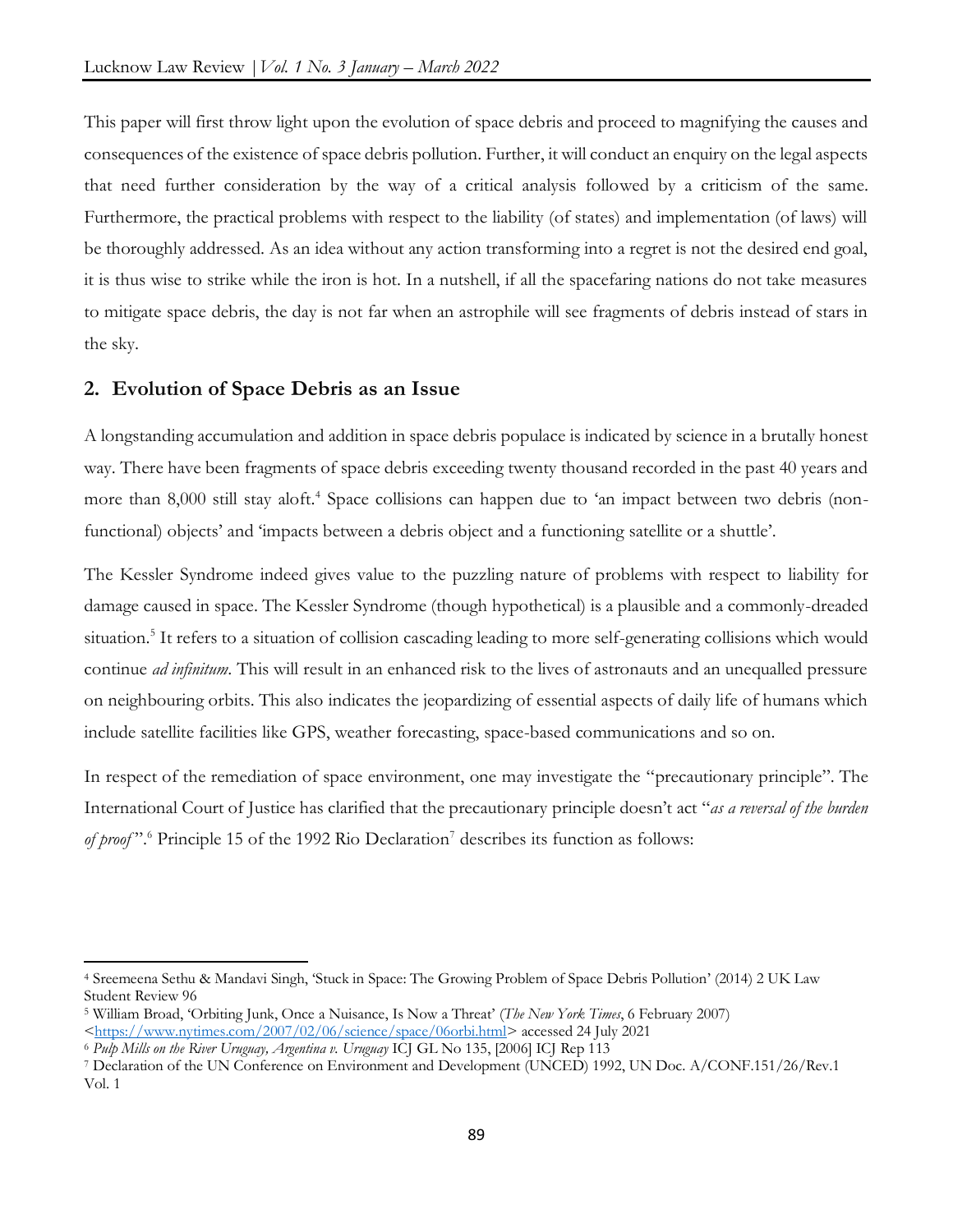This paper will first throw light upon the evolution of space debris and proceed to magnifying the causes and consequences of the existence of space debris pollution. Further, it will conduct an enquiry on the legal aspects that need further consideration by the way of a critical analysis followed by a criticism of the same. Furthermore, the practical problems with respect to the liability (of states) and implementation (of laws) will be thoroughly addressed. As an idea without any action transforming into a regret is not the desired end goal, it is thus wise to strike while the iron is hot. In a nutshell, if all the spacefaring nations do not take measures to mitigate space debris, the day is not far when an astrophile will see fragments of debris instead of stars in the sky.

# **2. Evolution of Space Debris as an Issue**

A longstanding accumulation and addition in space debris populace is indicated by science in a brutally honest way. There have been fragments of space debris exceeding twenty thousand recorded in the past 40 years and more than 8,000 still stay aloft.<sup>4</sup> Space collisions can happen due to 'an impact between two debris (nonfunctional) objects' and 'impacts between a debris object and a functioning satellite or a shuttle'.

The Kessler Syndrome indeed gives value to the puzzling nature of problems with respect to liability for damage caused in space. The Kessler Syndrome (though hypothetical) is a plausible and a commonly-dreaded situation.<sup>5</sup> It refers to a situation of collision cascading leading to more self-generating collisions which would continue *ad infinitum*. This will result in an enhanced risk to the lives of astronauts and an unequalled pressure on neighbouring orbits. This also indicates the jeopardizing of essential aspects of daily life of humans which include satellite facilities like GPS, weather forecasting, space-based communications and so on.

In respect of the remediation of space environment, one may investigate the "precautionary principle". The International Court of Justice has clarified that the precautionary principle doesn't act "*as a reversal of the burden*  of proof".<sup>6</sup> Principle 15 of the 1992 Rio Declaration<sup>7</sup> describes its function as follows:

<sup>4</sup> Sreemeena Sethu & Mandavi Singh, 'Stuck in Space: The Growing Problem of Space Debris Pollution' (2014) 2 UK Law Student Review 96

<sup>5</sup> William Broad, 'Orbiting Junk, Once a Nuisance, Is Now a Threat' (*The New York Times*, 6 February 2007)

[<sup>&</sup>lt;https://www.nytimes.com/2007/02/06/science/space/06orbi.html>](https://www.nytimes.com/2007/02/06/science/space/06orbi.html) accessed 24 July 2021

<sup>6</sup> *Pulp Mills on the River Uruguay, Argentina v. Uruguay* ICJ GL No 135, [2006] ICJ Rep 113

<sup>7</sup> Declaration of the UN Conference on Environment and Development (UNCED) 1992, UN Doc. A/CONF.151/26/Rev.1 Vol. 1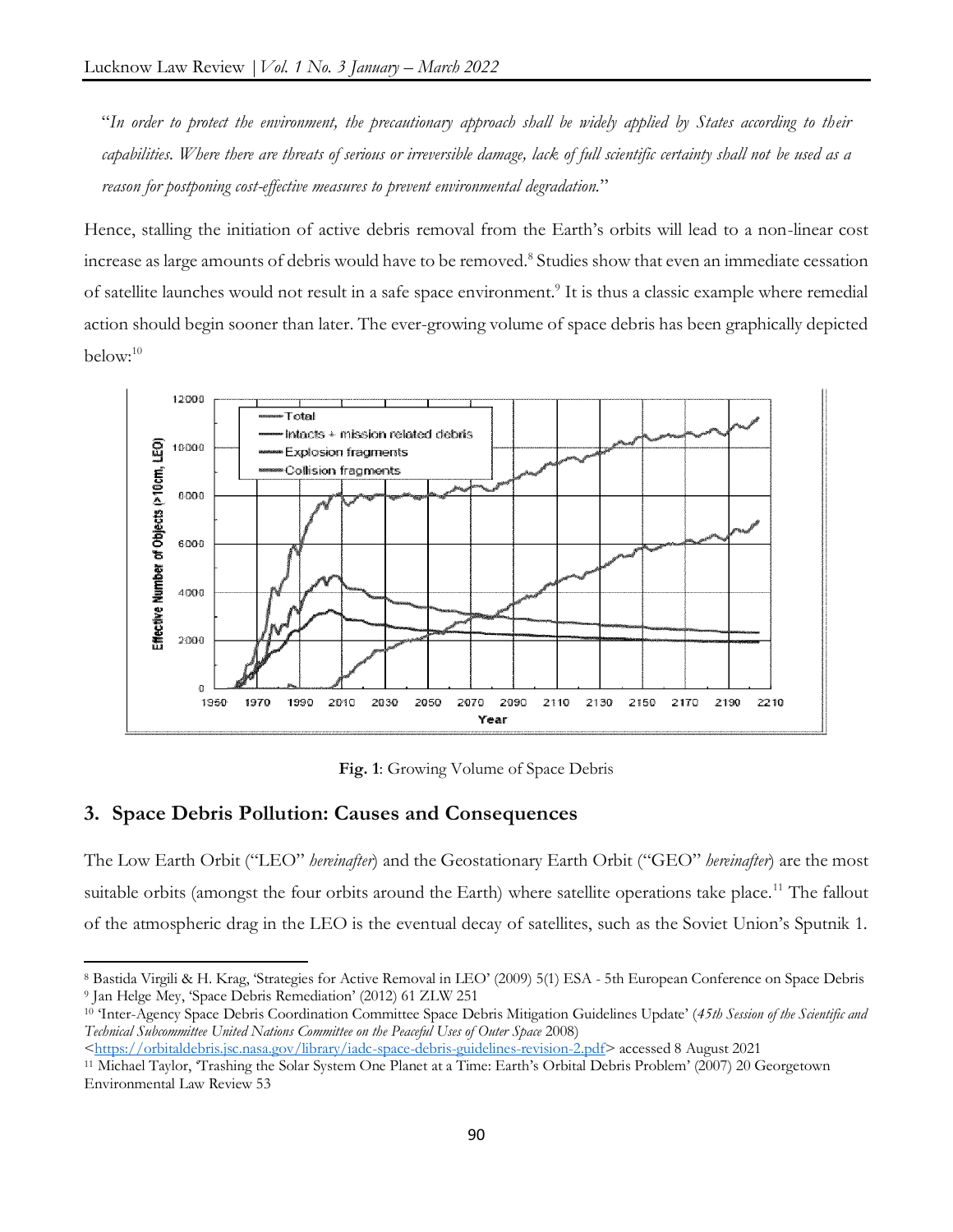"*In order to protect the environment, the precautionary approach shall be widely applied by States according to their capabilities. Where there are threats of serious or irreversible damage, lack of full scientific certainty shall not be used as a reason for postponing cost-effective measures to prevent environmental degradation.*"

Hence, stalling the initiation of active debris removal from the Earth's orbits will lead to a non-linear cost increase as large amounts of debris would have to be removed.<sup>8</sup> Studies show that even an immediate cessation of satellite launches would not result in a safe space environment.<sup>9</sup> It is thus a classic example where remedial action should begin sooner than later. The ever-growing volume of space debris has been graphically depicted below:<sup>10</sup>



**Fig. 1**: Growing Volume of Space Debris

#### **3. Space Debris Pollution: Causes and Consequences**

 $\overline{\phantom{a}}$ 

The Low Earth Orbit ("LEO" *hereinafter*) and the Geostationary Earth Orbit ("GEO" *hereinafter*) are the most suitable orbits (amongst the four orbits around the Earth) where satellite operations take place.<sup>11</sup> The fallout of the atmospheric drag in the LEO is the eventual decay of satellites, such as the Soviet Union's Sputnik 1.

<sup>8</sup> Bastida Virgili & H. Krag, 'Strategies for Active Removal in LEO' (2009) 5(1) ESA - 5th European Conference on Space Debris <sup>9</sup> Jan Helge Mey, 'Space Debris Remediation' (2012) 61 ZLW 251

<sup>10</sup> 'Inter-Agency Space Debris Coordination Committee Space Debris Mitigation Guidelines Update' (*45th Session of the Scientific and Technical Subcommittee United Nations Committee on the Peaceful Uses of Outer Space* 2008)

[<sup>&</sup>lt;https://orbitaldebris.jsc.nasa.gov/library/iadc-space-debris-guidelines-revision-2.pdf>](https://orbitaldebris.jsc.nasa.gov/library/iadc-space-debris-guidelines-revision-2.pdf) accessed 8 August 2021

<sup>11</sup> Michael Taylor, 'Trashing the Solar System One Planet at a Time: Earth's Orbital Debris Problem' (2007) 20 Georgetown Environmental Law Review 53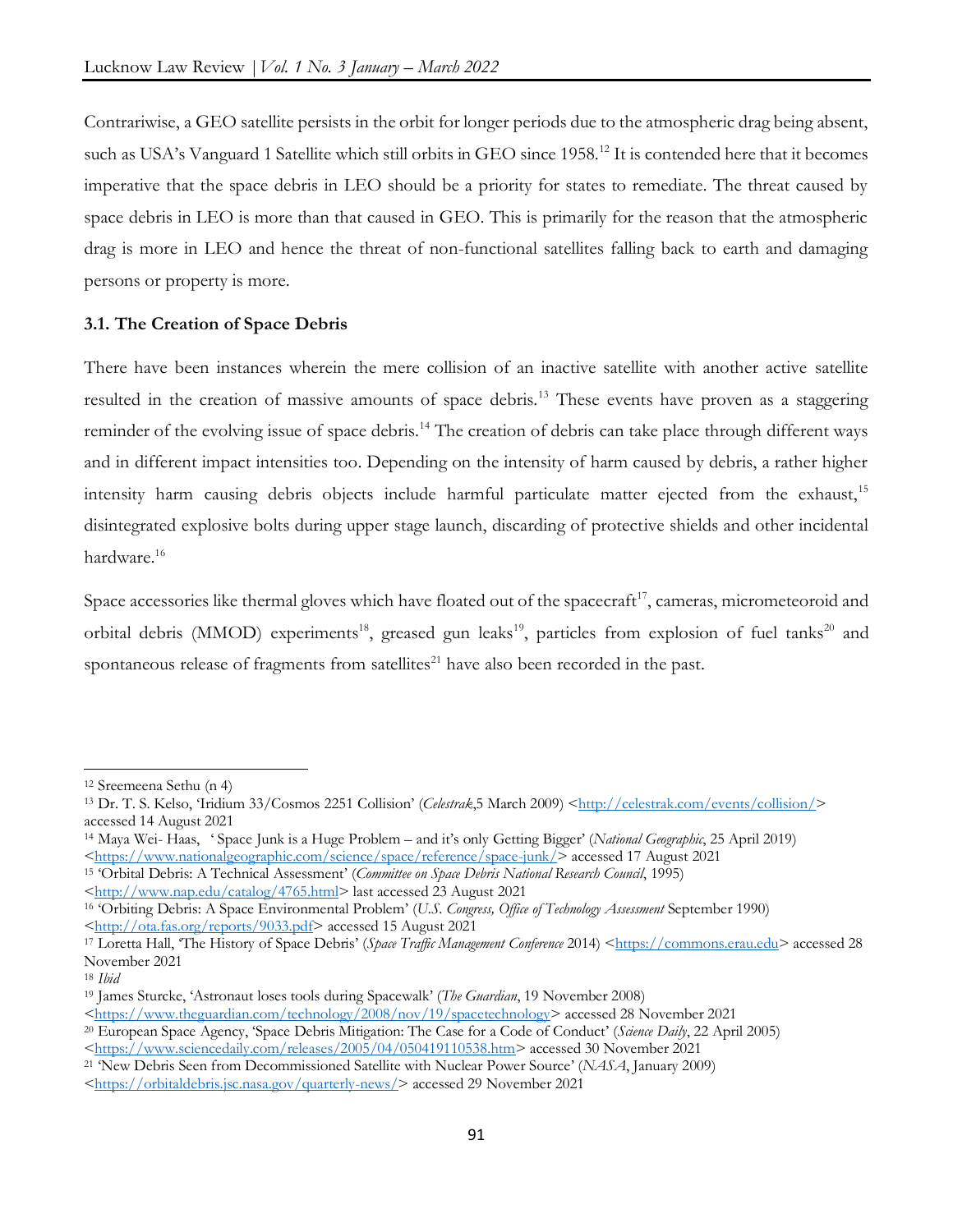Contrariwise, a GEO satellite persists in the orbit for longer periods due to the atmospheric drag being absent, such as USA's Vanguard 1 Satellite which still orbits in GEO since 1958.<sup>12</sup> It is contended here that it becomes imperative that the space debris in LEO should be a priority for states to remediate. The threat caused by space debris in LEO is more than that caused in GEO. This is primarily for the reason that the atmospheric drag is more in LEO and hence the threat of non-functional satellites falling back to earth and damaging persons or property is more.

# **3.1. The Creation of Space Debris**

There have been instances wherein the mere collision of an inactive satellite with another active satellite resulted in the creation of massive amounts of space debris.<sup>13</sup> These events have proven as a staggering reminder of the evolving issue of space debris.<sup>14</sup> The creation of debris can take place through different ways and in different impact intensities too. Depending on the intensity of harm caused by debris, a rather higher intensity harm causing debris objects include harmful particulate matter ejected from the exhaust,<sup>15</sup> disintegrated explosive bolts during upper stage launch, discarding of protective shields and other incidental hardware.<sup>16</sup>

Space accessories like thermal gloves which have floated out of the spacecraft<sup>17</sup>, cameras, micrometeoroid and orbital debris (MMOD) experiments<sup>18</sup>, greased gun leaks<sup>19</sup>, particles from explosion of fuel tanks<sup>20</sup> and spontaneous release of fragments from satellites<sup>21</sup> have also been recorded in the past.

 $\overline{a}$ 

<sup>12</sup> Sreemeena Sethu (n 4)

<sup>&</sup>lt;sup>13</sup> Dr. T. S. Kelso, 'Iridium 33/Cosmos 2251 Collision' (*Celestrak*,5 March 2009) [<http://celestrak.com/events/collision/>](http://celestrak.com/events/collision/) accessed 14 August 2021

<sup>14</sup> Maya Wei- Haas, ' Space Junk is a Huge Problem – and it's only Getting Bigger' (*National Geographic*, 25 April 2019) [<https://www.nationalgeographic.com/science/space/reference/space-junk/>](https://www.nationalgeographic.com/science/space/reference/space-junk/) accessed 17 August 2021

<sup>15</sup> 'Orbital Debris: A Technical Assessment' (*Committee on Space Debris National Research Council*, 1995)

[<sup>&</sup>lt;http://www.nap.edu/catalog/4765.html>](http://www.nap.edu/catalog/4765.html) last accessed 23 August 2021

<sup>16</sup> 'Orbiting Debris: A Space Environmental Problem' (*U.S. Congress, Office of Technology Assessment* September 1990) [<http://ota.fas.org/reports/9033.pdf>](http://ota.fas.org/reports/9033.pdf) accessed 15 August 2021

<sup>17</sup> Loretta Hall, 'The History of Space Debris' (*Space Traffic Management Conference* 2014) [<https://commons.erau.edu>](https://commons.erau.edu/) accessed 28 November 2021

<sup>18</sup> *Ibid*

<sup>19</sup> James Sturcke, 'Astronaut loses tools during Spacewalk' (*The Guardian*, 19 November 2008)

[<sup>&</sup>lt;https://www.theguardian.com/technology/2008/nov/19/spacetechnology>](https://www.theguardian.com/technology/2008/nov/19/spacetechnology) accessed 28 November 2021

<sup>20</sup> European Space Agency, 'Space Debris Mitigation: The Case for a Code of Conduct' (*Science Daily*, 22 April 2005)

[<sup>&</sup>lt;https://www.sciencedaily.com/releases/2005/04/050419110538.htm>](https://www.sciencedaily.com/releases/2005/04/050419110538.htm) accessed 30 November 2021

<sup>21</sup> 'New Debris Seen from Decommissioned Satellite with Nuclear Power Source' (*NASA*, January 2009)

[<sup>&</sup>lt;https://orbitaldebris.jsc.nasa.gov/quarterly-news/>](https://orbitaldebris.jsc.nasa.gov/quarterly-news/) accessed 29 November 2021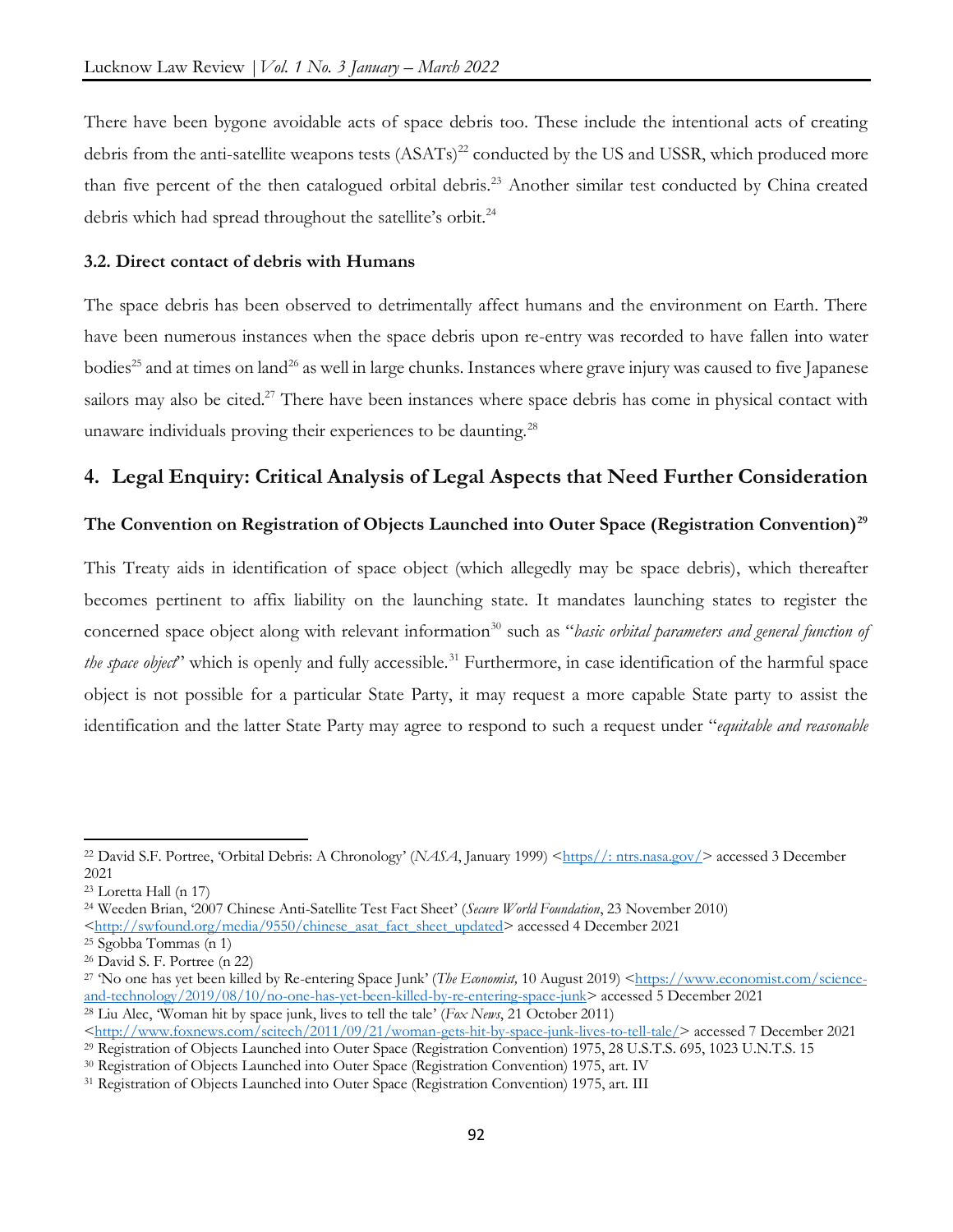There have been bygone avoidable acts of space debris too. These include the intentional acts of creating debris from the anti-satellite weapons tests (ASATs)<sup>22</sup> conducted by the US and USSR, which produced more than five percent of the then catalogued orbital debris.<sup>23</sup> Another similar test conducted by China created debris which had spread throughout the satellite's orbit.<sup>24</sup>

#### **3.2. Direct contact of debris with Humans**

The space debris has been observed to detrimentally affect humans and the environment on Earth. There have been numerous instances when the space debris upon re-entry was recorded to have fallen into water bodies<sup>25</sup> and at times on land<sup>26</sup> as well in large chunks. Instances where grave injury was caused to five Japanese sailors may also be cited.<sup>27</sup> There have been instances where space debris has come in physical contact with unaware individuals proving their experiences to be daunting.<sup>28</sup>

# **4. Legal Enquiry: Critical Analysis of Legal Aspects that Need Further Consideration**

#### **The Convention on Registration of Objects Launched into Outer Space (Registration Convention)<sup>29</sup>**

This Treaty aids in identification of space object (which allegedly may be space debris), which thereafter becomes pertinent to affix liability on the launching state. It mandates launching states to register the concerned space object along with relevant information<sup>30</sup> such as "*basic orbital parameters and general function of the space object*" which is openly and fully accessible.<sup>31</sup> Furthermore, in case identification of the harmful space object is not possible for a particular State Party, it may request a more capable State party to assist the identification and the latter State Party may agree to respond to such a request under "*equitable and reasonable* 

<sup>&</sup>lt;sup>22</sup> David S.F. Portree, 'Orbital Debris: A Chronology' (*NASA*, January 1999) [<https//: ntrs.nasa.gov/>](https/:%20ntrs.nasa.gov/) accessed 3 December 2021

<sup>23</sup> Loretta Hall (n 17)

<sup>24</sup> Weeden Brian, '2007 Chinese Anti-Satellite Test Fact Sheet' (*Secure World Foundation*, 23 November 2010)

[<sup>&</sup>lt;http://swfound.org/media/9550/chinese\\_asat\\_fact\\_sheet\\_updated>](http://swfound.org/media/9550/chinese_asat_fact_sheet_updated) accessed 4 December 2021

<sup>25</sup> Sgobba Tommas (n 1)

<sup>26</sup> David S. F. Portree (n 22)

<sup>&</sup>lt;sup>27</sup> No one has yet been killed by Re-entering Space Junk' (*The Economist*, 10 August 2019) [<https://www.economist.com/science](https://www.economist.com/science-and-technology/2019/08/10/no-one-has-yet-been-killed-by-re-entering-space-junk)[and-technology/2019/08/10/no-one-has-yet-been-killed-by-re-entering-space-junk>](https://www.economist.com/science-and-technology/2019/08/10/no-one-has-yet-been-killed-by-re-entering-space-junk) accessed 5 December 2021

<sup>28</sup> Liu Alec, 'Woman hit by space junk, lives to tell the tale' (*Fox News*, 21 October 2011)

[<sup>&</sup>lt;http://www.foxnews.com/scitech/2011/09/21/woman-gets-hit-by-space-junk-lives-to-tell-tale/>](http://www.foxnews.com/scitech/2011/09/21/woman-gets-hit-by-space-junk-lives-to-tell-tale/) accessed 7 December 2021

<sup>29</sup> Registration of Objects Launched into Outer Space (Registration Convention) 1975, 28 U.S.T.S. 695, 1023 U.N.T.S. 15

<sup>30</sup> Registration of Objects Launched into Outer Space (Registration Convention) 1975, art. IV

<sup>31</sup> Registration of Objects Launched into Outer Space (Registration Convention) 1975, art. III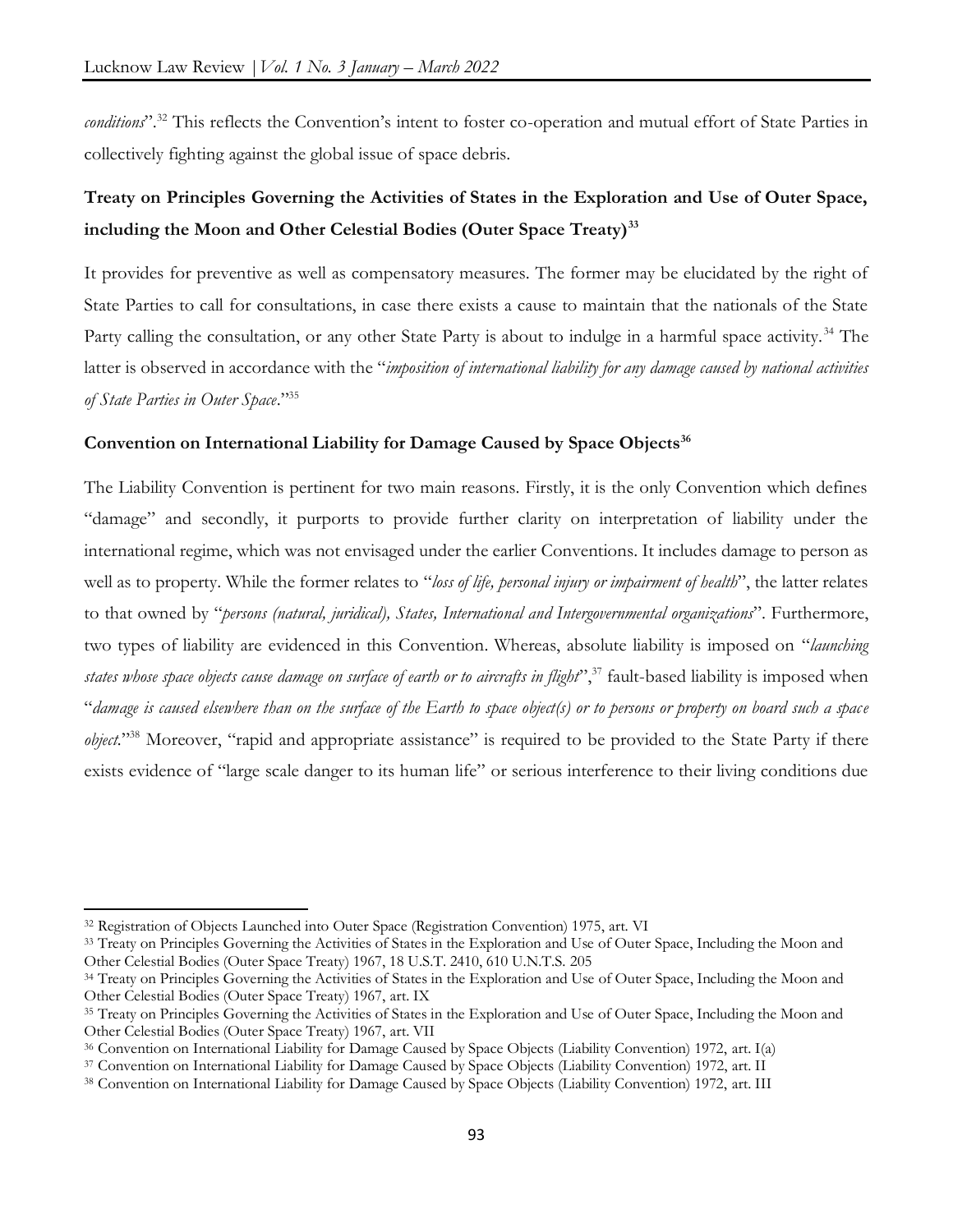*conditions*".<sup>32</sup> This reflects the Convention's intent to foster co-operation and mutual effort of State Parties in collectively fighting against the global issue of space debris.

# **Treaty on Principles Governing the Activities of States in the Exploration and Use of Outer Space, including the Moon and Other Celestial Bodies (Outer Space Treaty)<sup>33</sup>**

It provides for preventive as well as compensatory measures. The former may be elucidated by the right of State Parties to call for consultations, in case there exists a cause to maintain that the nationals of the State Party calling the consultation, or any other State Party is about to indulge in a harmful space activity.<sup>34</sup> The latter is observed in accordance with the "*imposition of international liability for any damage caused by national activities of State Parties in Outer Space*."<sup>35</sup>

#### **Convention on International Liability for Damage Caused by Space Objects<sup>36</sup>**

The Liability Convention is pertinent for two main reasons. Firstly, it is the only Convention which defines "damage" and secondly, it purports to provide further clarity on interpretation of liability under the international regime, which was not envisaged under the earlier Conventions. It includes damage to person as well as to property. While the former relates to "*loss of life, personal injury or impairment of health*", the latter relates to that owned by "*persons (natural, juridical), States, International and Intergovernmental organizations*". Furthermore, two types of liability are evidenced in this Convention. Whereas, absolute liability is imposed on "*launching states whose space objects cause damage on surface of earth or to aircrafts in flight*<sup>", 37</sup> fault-based liability is imposed when "*damage is caused elsewhere than on the surface of the Earth to space object(s) or to persons or property on board such a space object.*" <sup>38</sup> Moreover, "rapid and appropriate assistance" is required to be provided to the State Party if there exists evidence of "large scale danger to its human life" or serious interference to their living conditions due

<sup>32</sup> Registration of Objects Launched into Outer Space (Registration Convention) 1975, art. VI

<sup>&</sup>lt;sup>33</sup> Treaty on Principles Governing the Activities of States in the Exploration and Use of Outer Space, Including the Moon and Other Celestial Bodies (Outer Space Treaty) 1967, 18 U.S.T. 2410, 610 U.N.T.S. 205

<sup>&</sup>lt;sup>34</sup> Treaty on Principles Governing the Activities of States in the Exploration and Use of Outer Space, Including the Moon and Other Celestial Bodies (Outer Space Treaty) 1967, art. IX

<sup>&</sup>lt;sup>35</sup> Treaty on Principles Governing the Activities of States in the Exploration and Use of Outer Space, Including the Moon and Other Celestial Bodies (Outer Space Treaty) 1967, art. VII

<sup>36</sup> Convention on International Liability for Damage Caused by Space Objects (Liability Convention) 1972, art. I(a)

<sup>37</sup> Convention on International Liability for Damage Caused by Space Objects (Liability Convention) 1972, art. II

<sup>38</sup> Convention on International Liability for Damage Caused by Space Objects (Liability Convention) 1972, art. III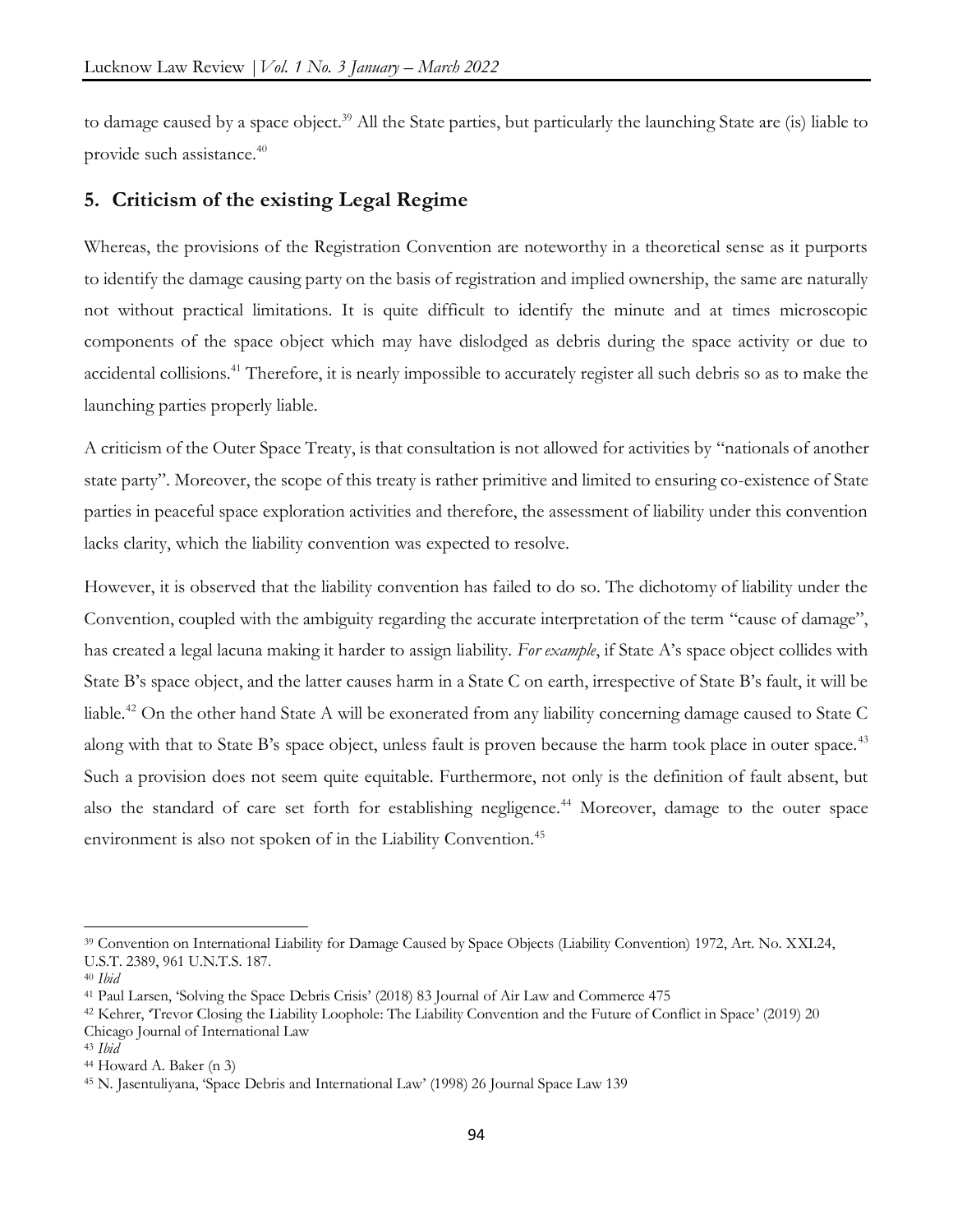to damage caused by a space object.<sup>39</sup> All the State parties, but particularly the launching State are (is) liable to provide such assistance.<sup>40</sup>

# **5. Criticism of the existing Legal Regime**

Whereas, the provisions of the Registration Convention are noteworthy in a theoretical sense as it purports to identify the damage causing party on the basis of registration and implied ownership, the same are naturally not without practical limitations. It is quite difficult to identify the minute and at times microscopic components of the space object which may have dislodged as debris during the space activity or due to accidental collisions.<sup>41</sup> Therefore, it is nearly impossible to accurately register all such debris so as to make the launching parties properly liable.

A criticism of the Outer Space Treaty, is that consultation is not allowed for activities by "nationals of another state party". Moreover, the scope of this treaty is rather primitive and limited to ensuring co-existence of State parties in peaceful space exploration activities and therefore, the assessment of liability under this convention lacks clarity, which the liability convention was expected to resolve.

However, it is observed that the liability convention has failed to do so. The dichotomy of liability under the Convention, coupled with the ambiguity regarding the accurate interpretation of the term "cause of damage", has created a legal lacuna making it harder to assign liability. *For example*, if State A's space object collides with State B's space object, and the latter causes harm in a State C on earth, irrespective of State B's fault, it will be liable.<sup>42</sup> On the other hand State A will be exonerated from any liability concerning damage caused to State C along with that to State B's space object, unless fault is proven because the harm took place in outer space.<sup>43</sup> Such a provision does not seem quite equitable. Furthermore, not only is the definition of fault absent, but also the standard of care set forth for establishing negligence.<sup>44</sup> Moreover, damage to the outer space environment is also not spoken of in the Liability Convention.<sup>45</sup>

<sup>39</sup> Convention on International Liability for Damage Caused by Space Objects (Liability Convention) 1972, Art. No. XXI.24, U.S.T. 2389, 961 U.N.T.S. 187.

<sup>40</sup> *Ibid*

<sup>41</sup> Paul Larsen, 'Solving the Space Debris Crisis' (2018) 83 Journal of Air Law and Commerce 475

<sup>42</sup> Kehrer, 'Trevor Closing the Liability Loophole: The Liability Convention and the Future of Conflict in Space' (2019) 20 Chicago Journal of International Law

<sup>43</sup> *Ibid*

<sup>44</sup> Howard A. Baker (n 3)

<sup>45</sup> N. Jasentuliyana, 'Space Debris and International Law' (1998) 26 Journal Space Law 139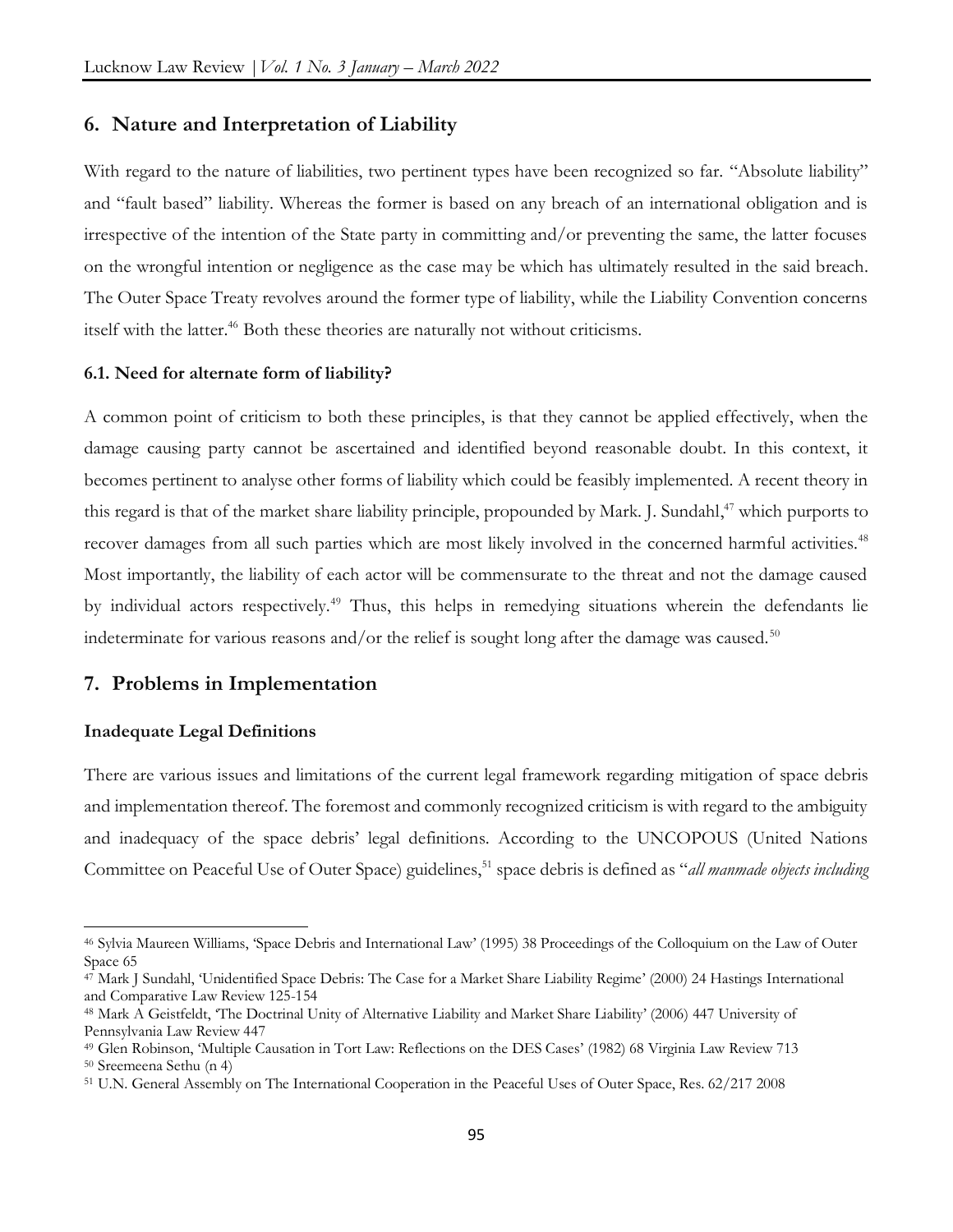#### **6. Nature and Interpretation of Liability**

With regard to the nature of liabilities, two pertinent types have been recognized so far. "Absolute liability" and "fault based" liability. Whereas the former is based on any breach of an international obligation and is irrespective of the intention of the State party in committing and/or preventing the same, the latter focuses on the wrongful intention or negligence as the case may be which has ultimately resulted in the said breach. The Outer Space Treaty revolves around the former type of liability, while the Liability Convention concerns itself with the latter.<sup>46</sup> Both these theories are naturally not without criticisms.

#### **6.1. Need for alternate form of liability?**

A common point of criticism to both these principles, is that they cannot be applied effectively, when the damage causing party cannot be ascertained and identified beyond reasonable doubt. In this context, it becomes pertinent to analyse other forms of liability which could be feasibly implemented. A recent theory in this regard is that of the market share liability principle, propounded by Mark. J. Sundahl, <sup>47</sup> which purports to recover damages from all such parties which are most likely involved in the concerned harmful activities.<sup>48</sup> Most importantly, the liability of each actor will be commensurate to the threat and not the damage caused by individual actors respectively.<sup>49</sup> Thus, this helps in remedying situations wherein the defendants lie indeterminate for various reasons and/or the relief is sought long after the damage was caused.<sup>50</sup>

# **7. Problems in Implementation**

#### **Inadequate Legal Definitions**

There are various issues and limitations of the current legal framework regarding mitigation of space debris and implementation thereof. The foremost and commonly recognized criticism is with regard to the ambiguity and inadequacy of the space debris' legal definitions. According to the UNCOPOUS (United Nations Committee on Peaceful Use of Outer Space) guidelines,<sup>51</sup> space debris is defined as "*all manmade objects including* 

<sup>46</sup> Sylvia Maureen Williams, 'Space Debris and International Law' (1995) 38 Proceedings of the Colloquium on the Law of Outer Space 65

<sup>47</sup> Mark J Sundahl, 'Unidentified Space Debris: The Case for a Market Share Liability Regime' (2000) 24 Hastings International and Comparative Law Review 125-154

<sup>48</sup> Mark A Geistfeldt, 'The Doctrinal Unity of Alternative Liability and Market Share Liability' (2006) 447 University of Pennsylvania Law Review 447

<sup>49</sup> Glen Robinson, 'Multiple Causation in Tort Law: Reflections on the DES Cases' (1982) 68 Virginia Law Review 713

<sup>50</sup> Sreemeena Sethu (n 4)

<sup>51</sup> U.N. General Assembly on The International Cooperation in the Peaceful Uses of Outer Space, Res. 62/217 2008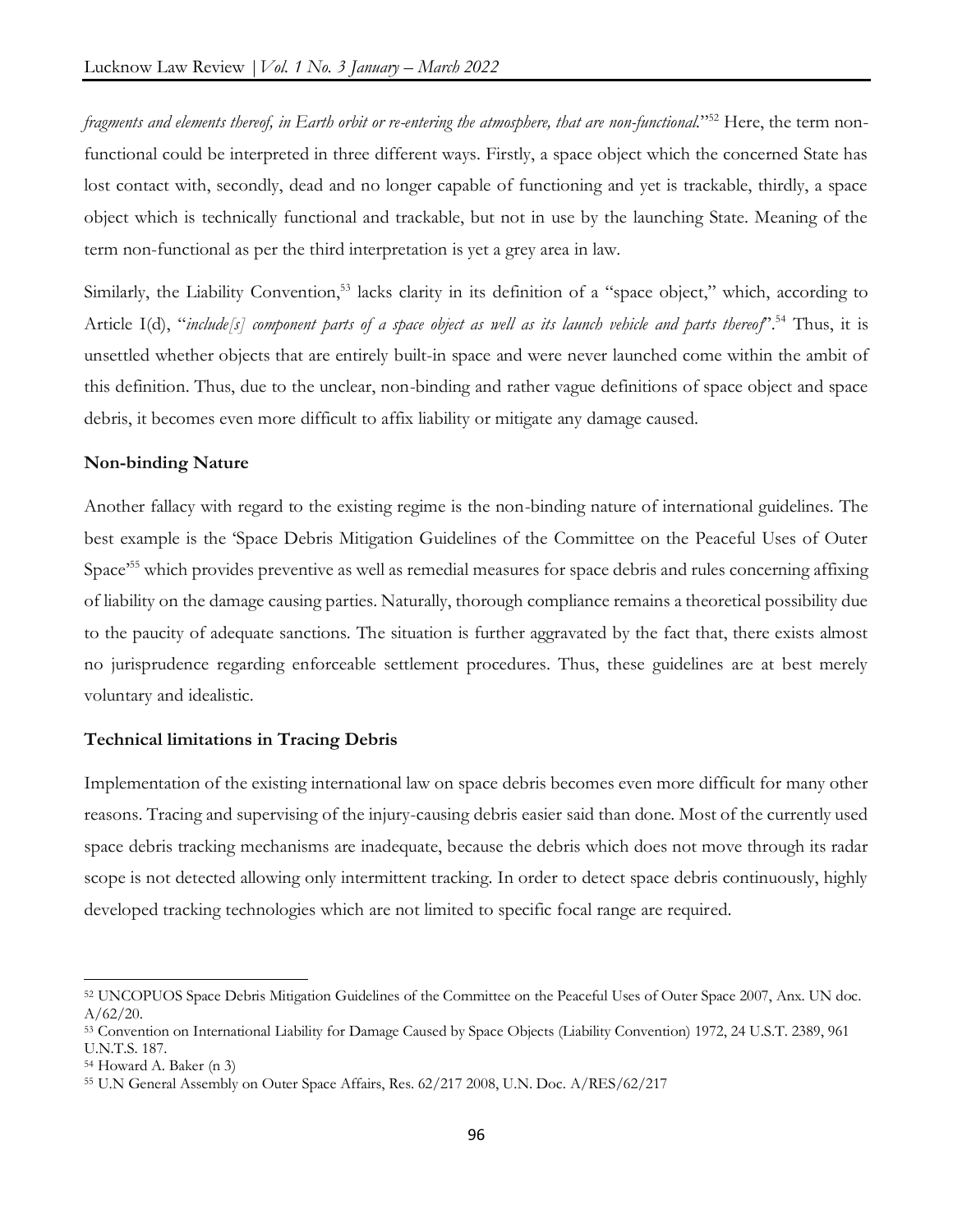*fragments and elements thereof, in Earth orbit or re-entering the atmosphere, that are non-functional.*" <sup>52</sup> Here, the term nonfunctional could be interpreted in three different ways. Firstly, a space object which the concerned State has lost contact with, secondly, dead and no longer capable of functioning and yet is trackable, thirdly, a space object which is technically functional and trackable, but not in use by the launching State. Meaning of the term non-functional as per the third interpretation is yet a grey area in law.

Similarly, the Liability Convention,<sup>53</sup> lacks clarity in its definition of a "space object," which, according to Article I(d), "*include[s] component parts of a space object as well as its launch vehicle and parts thereof*". <sup>54</sup> Thus, it is unsettled whether objects that are entirely built-in space and were never launched come within the ambit of this definition. Thus, due to the unclear, non-binding and rather vague definitions of space object and space debris, it becomes even more difficult to affix liability or mitigate any damage caused.

# **Non-binding Nature**

Another fallacy with regard to the existing regime is the non-binding nature of international guidelines. The best example is the 'Space Debris Mitigation Guidelines of the Committee on the Peaceful Uses of Outer Space<sup>55</sup> which provides preventive as well as remedial measures for space debris and rules concerning affixing of liability on the damage causing parties. Naturally, thorough compliance remains a theoretical possibility due to the paucity of adequate sanctions. The situation is further aggravated by the fact that, there exists almost no jurisprudence regarding enforceable settlement procedures. Thus, these guidelines are at best merely voluntary and idealistic.

#### **Technical limitations in Tracing Debris**

Implementation of the existing international law on space debris becomes even more difficult for many other reasons. Tracing and supervising of the injury-causing debris easier said than done. Most of the currently used space debris tracking mechanisms are inadequate, because the debris which does not move through its radar scope is not detected allowing only intermittent tracking. In order to detect space debris continuously, highly developed tracking technologies which are not limited to specific focal range are required.

<sup>52</sup> UNCOPUOS Space Debris Mitigation Guidelines of the Committee on the Peaceful Uses of Outer Space 2007, Anx. UN doc.  $A/62/20.$ 

<sup>53</sup> Convention on International Liability for Damage Caused by Space Objects (Liability Convention) 1972, 24 U.S.T. 2389, 961 U.N.T.S. 187.

<sup>54</sup> Howard A. Baker (n 3)

<sup>55</sup> U.N General Assembly on Outer Space Affairs, Res. 62/217 2008, U.N. Doc. A/RES/62/217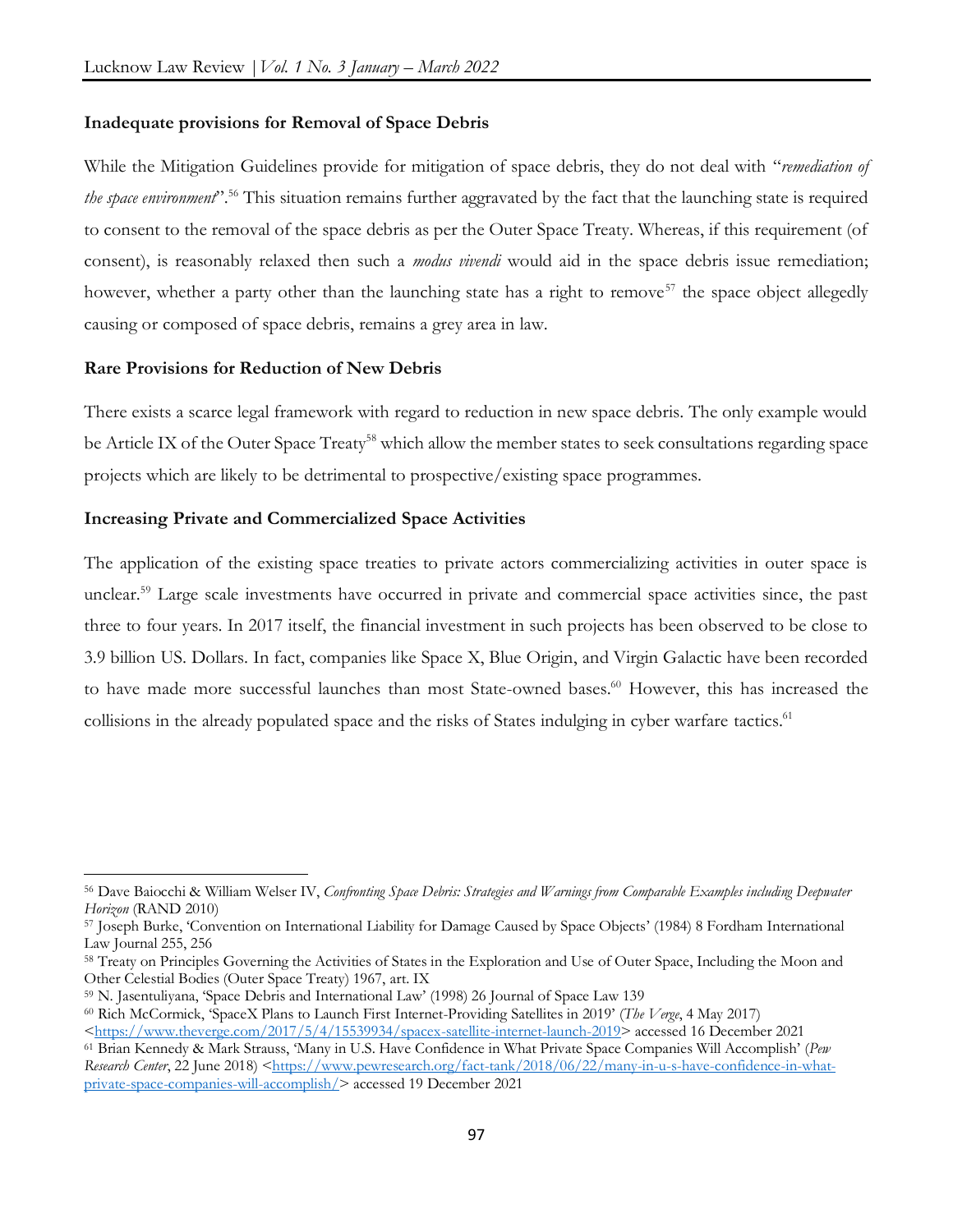#### **Inadequate provisions for Removal of Space Debris**

While the Mitigation Guidelines provide for mitigation of space debris, they do not deal with "*remediation of the space environment*". <sup>56</sup> This situation remains further aggravated by the fact that the launching state is required to consent to the removal of the space debris as per the Outer Space Treaty. Whereas, if this requirement (of consent), is reasonably relaxed then such a *modus vivendi* would aid in the space debris issue remediation; however, whether a party other than the launching state has a right to remove<sup>57</sup> the space object allegedly causing or composed of space debris, remains a grey area in law.

#### **Rare Provisions for Reduction of New Debris**

 $\overline{a}$ 

There exists a scarce legal framework with regard to reduction in new space debris. The only example would be Article IX of the Outer Space Treaty<sup>58</sup> which allow the member states to seek consultations regarding space projects which are likely to be detrimental to prospective/existing space programmes.

#### **Increasing Private and Commercialized Space Activities**

The application of the existing space treaties to private actors commercializing activities in outer space is unclear.<sup>59</sup> Large scale investments have occurred in private and commercial space activities since, the past three to four years. In 2017 itself, the financial investment in such projects has been observed to be close to 3.9 billion US. Dollars. In fact, companies like Space X, Blue Origin, and Virgin Galactic have been recorded to have made more successful launches than most State-owned bases.<sup>60</sup> However, this has increased the collisions in the already populated space and the risks of States indulging in cyber warfare tactics.<sup>61</sup>

<sup>56</sup> Dave Baiocchi & William Welser IV, *Confronting Space Debris: Strategies and Warnings from Comparable Examples including Deepwater Horizon* (RAND 2010)

<sup>57</sup> Joseph Burke, 'Convention on International Liability for Damage Caused by Space Objects' (1984) 8 Fordham International Law Journal 255, 256

<sup>58</sup> Treaty on Principles Governing the Activities of States in the Exploration and Use of Outer Space, Including the Moon and Other Celestial Bodies (Outer Space Treaty) 1967, art. IX

<sup>59</sup> N. Jasentuliyana, 'Space Debris and International Law' (1998) 26 Journal of Space Law 139

<sup>60</sup> Rich McCormick, 'SpaceX Plans to Launch First Internet-Providing Satellites in 2019' (*The Verge*, 4 May 2017)

[<sup>&</sup>lt;https://www.theverge.com/2017/5/4/15539934/spacex-satellite-internet-launch-2019>](https://www.theverge.com/2017/5/4/15539934/spacex-satellite-internet-launch-2019) accessed 16 December 2021

<sup>61</sup> Brian Kennedy & Mark Strauss, 'Many in U.S. Have Confidence in What Private Space Companies Will Accomplish' (*Pew Research Center*, 22 June 2018) [<https://www.pewresearch.org/fact-tank/2018/06/22/many-in-u-s-have-confidence-in-what](https://www.pewresearch.org/fact-tank/2018/06/22/many-in-u-s-have-confidence-in-what-private-space-companies-will-accomplish/)[private-space-companies-will-accomplish/>](https://www.pewresearch.org/fact-tank/2018/06/22/many-in-u-s-have-confidence-in-what-private-space-companies-will-accomplish/) accessed 19 December 2021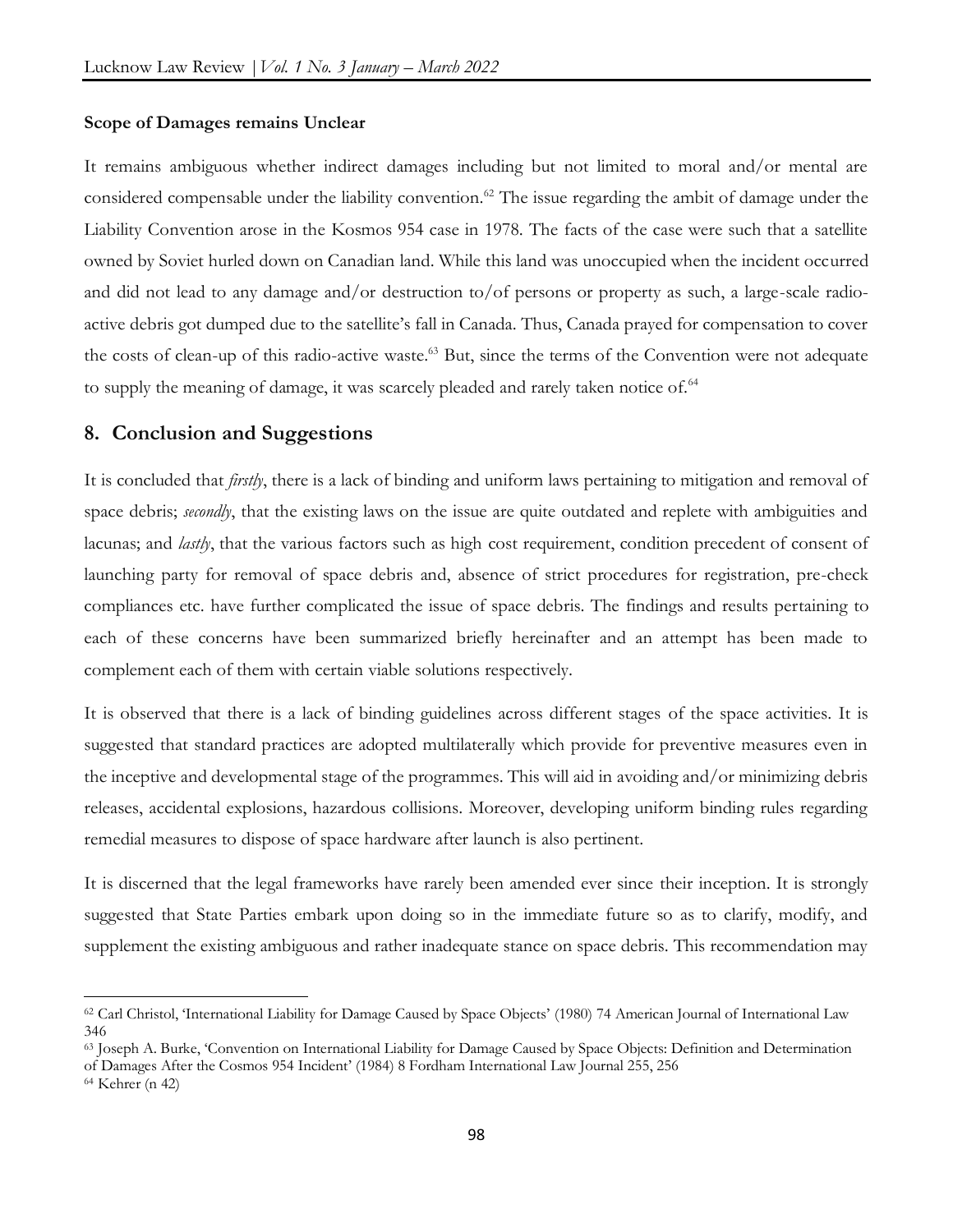#### **Scope of Damages remains Unclear**

It remains ambiguous whether indirect damages including but not limited to moral and/or mental are considered compensable under the liability convention.<sup>62</sup> The issue regarding the ambit of damage under the Liability Convention arose in the Kosmos 954 case in 1978. The facts of the case were such that a satellite owned by Soviet hurled down on Canadian land. While this land was unoccupied when the incident occurred and did not lead to any damage and/or destruction to/of persons or property as such, a large-scale radioactive debris got dumped due to the satellite's fall in Canada. Thus, Canada prayed for compensation to cover the costs of clean-up of this radio-active waste.<sup>63</sup> But, since the terms of the Convention were not adequate to supply the meaning of damage, it was scarcely pleaded and rarely taken notice of.<sup>64</sup>

# **8. Conclusion and Suggestions**

It is concluded that *firstly*, there is a lack of binding and uniform laws pertaining to mitigation and removal of space debris; *secondly*, that the existing laws on the issue are quite outdated and replete with ambiguities and lacunas; and *lastly*, that the various factors such as high cost requirement, condition precedent of consent of launching party for removal of space debris and, absence of strict procedures for registration, pre-check compliances etc. have further complicated the issue of space debris. The findings and results pertaining to each of these concerns have been summarized briefly hereinafter and an attempt has been made to complement each of them with certain viable solutions respectively.

It is observed that there is a lack of binding guidelines across different stages of the space activities. It is suggested that standard practices are adopted multilaterally which provide for preventive measures even in the inceptive and developmental stage of the programmes. This will aid in avoiding and/or minimizing debris releases, accidental explosions, hazardous collisions. Moreover, developing uniform binding rules regarding remedial measures to dispose of space hardware after launch is also pertinent.

It is discerned that the legal frameworks have rarely been amended ever since their inception. It is strongly suggested that State Parties embark upon doing so in the immediate future so as to clarify, modify, and supplement the existing ambiguous and rather inadequate stance on space debris. This recommendation may

 $\overline{a}$ 

<sup>62</sup> Carl Christol, 'International Liability for Damage Caused by Space Objects' (1980) 74 American Journal of International Law 346

<sup>63</sup> Joseph A. Burke, 'Convention on International Liability for Damage Caused by Space Objects: Definition and Determination of Damages After the Cosmos 954 Incident' (1984) 8 Fordham International Law Journal 255, 256

<sup>64</sup> Kehrer (n 42)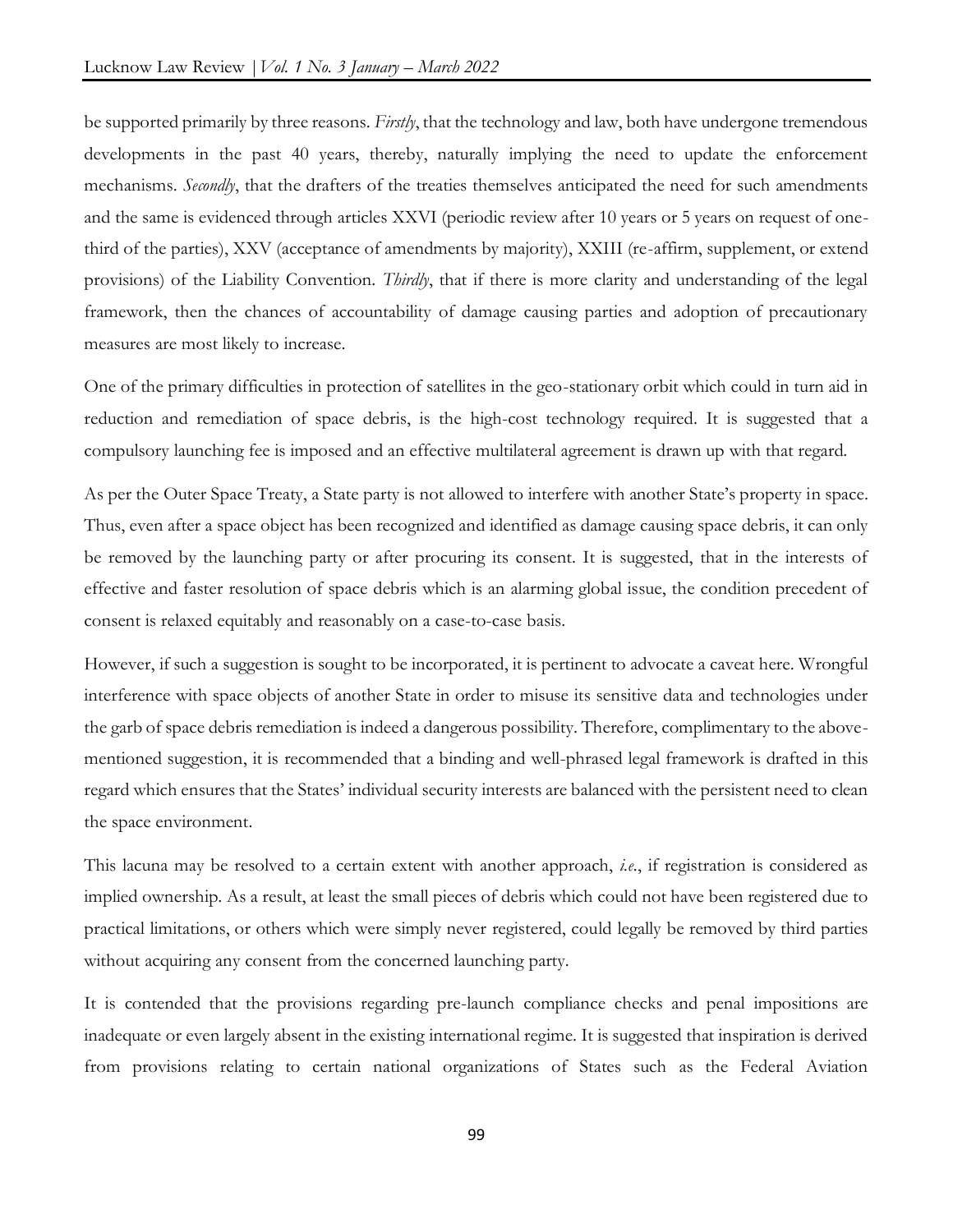be supported primarily by three reasons. *Firstly*, that the technology and law, both have undergone tremendous developments in the past 40 years, thereby, naturally implying the need to update the enforcement mechanisms. *Secondly*, that the drafters of the treaties themselves anticipated the need for such amendments and the same is evidenced through articles XXVI (periodic review after 10 years or 5 years on request of onethird of the parties), XXV (acceptance of amendments by majority), XXIII (re-affirm, supplement, or extend provisions) of the Liability Convention. *Thirdly*, that if there is more clarity and understanding of the legal framework, then the chances of accountability of damage causing parties and adoption of precautionary measures are most likely to increase.

One of the primary difficulties in protection of satellites in the geo-stationary orbit which could in turn aid in reduction and remediation of space debris, is the high-cost technology required. It is suggested that a compulsory launching fee is imposed and an effective multilateral agreement is drawn up with that regard.

As per the Outer Space Treaty, a State party is not allowed to interfere with another State's property in space. Thus, even after a space object has been recognized and identified as damage causing space debris, it can only be removed by the launching party or after procuring its consent. It is suggested, that in the interests of effective and faster resolution of space debris which is an alarming global issue, the condition precedent of consent is relaxed equitably and reasonably on a case-to-case basis.

However, if such a suggestion is sought to be incorporated, it is pertinent to advocate a caveat here. Wrongful interference with space objects of another State in order to misuse its sensitive data and technologies under the garb of space debris remediation is indeed a dangerous possibility. Therefore, complimentary to the abovementioned suggestion, it is recommended that a binding and well-phrased legal framework is drafted in this regard which ensures that the States' individual security interests are balanced with the persistent need to clean the space environment.

This lacuna may be resolved to a certain extent with another approach, *i.e.*, if registration is considered as implied ownership. As a result, at least the small pieces of debris which could not have been registered due to practical limitations, or others which were simply never registered, could legally be removed by third parties without acquiring any consent from the concerned launching party.

It is contended that the provisions regarding pre-launch compliance checks and penal impositions are inadequate or even largely absent in the existing international regime. It is suggested that inspiration is derived from provisions relating to certain national organizations of States such as the Federal Aviation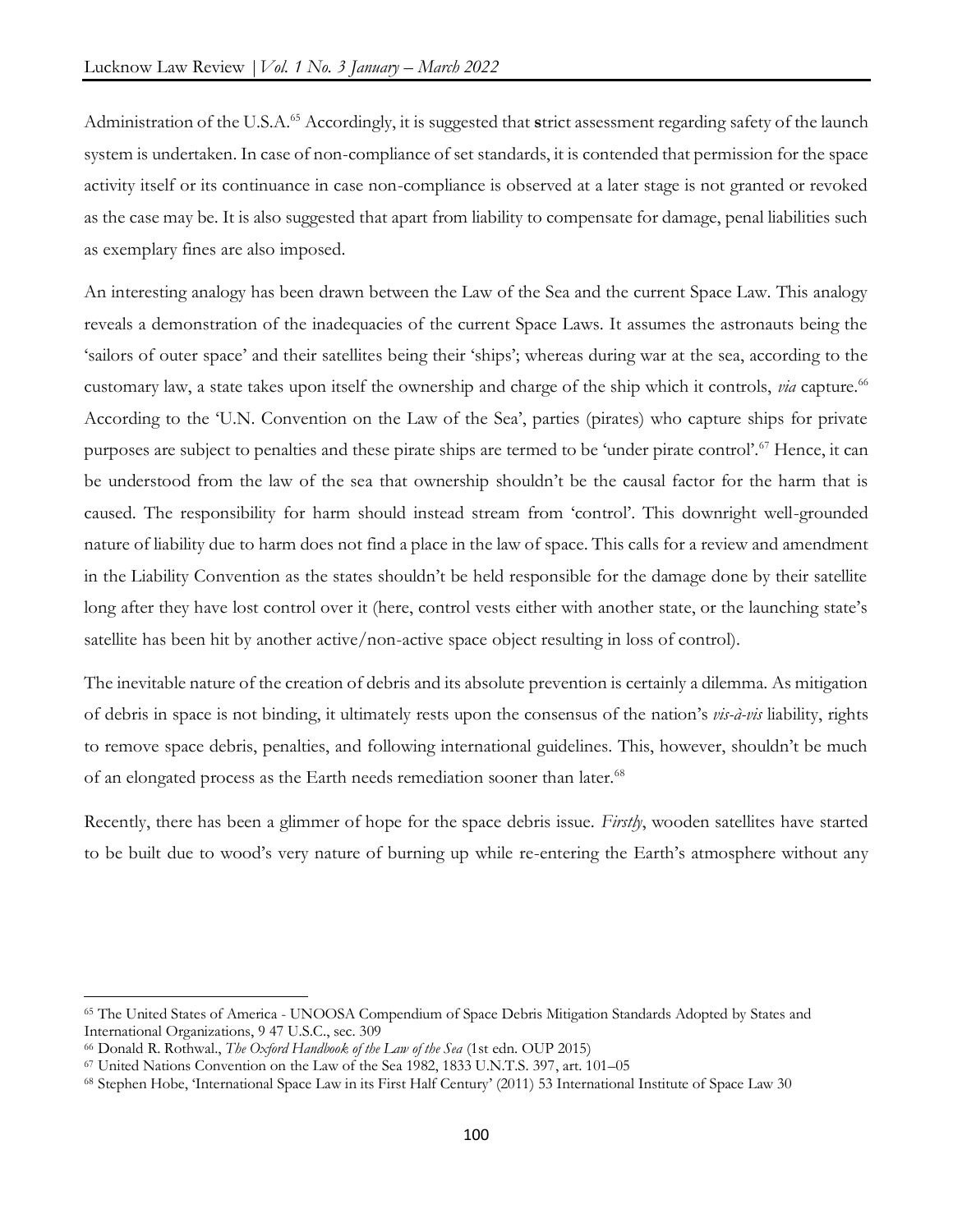Administration of the U.S.A.<sup>65</sup> Accordingly, it is suggested that **s**trict assessment regarding safety of the launch system is undertaken. In case of non-compliance of set standards, it is contended that permission for the space activity itself or its continuance in case non-compliance is observed at a later stage is not granted or revoked as the case may be. It is also suggested that apart from liability to compensate for damage, penal liabilities such as exemplary fines are also imposed.

An interesting analogy has been drawn between the Law of the Sea and the current Space Law. This analogy reveals a demonstration of the inadequacies of the current Space Laws. It assumes the astronauts being the 'sailors of outer space' and their satellites being their 'ships'; whereas during war at the sea, according to the customary law, a state takes upon itself the ownership and charge of the ship which it controls, *via* capture.<sup>66</sup> According to the 'U.N. Convention on the Law of the Sea', parties (pirates) who capture ships for private purposes are subject to penalties and these pirate ships are termed to be 'under pirate control'.<sup>67</sup> Hence, it can be understood from the law of the sea that ownership shouldn't be the causal factor for the harm that is caused. The responsibility for harm should instead stream from 'control'. This downright well-grounded nature of liability due to harm does not find a place in the law of space. This calls for a review and amendment in the Liability Convention as the states shouldn't be held responsible for the damage done by their satellite long after they have lost control over it (here, control vests either with another state, or the launching state's satellite has been hit by another active/non-active space object resulting in loss of control).

The inevitable nature of the creation of debris and its absolute prevention is certainly a dilemma. As mitigation of debris in space is not binding, it ultimately rests upon the consensus of the nation's *vis-à-vis* liability, rights to remove space debris, penalties, and following international guidelines. This, however, shouldn't be much of an elongated process as the Earth needs remediation sooner than later.<sup>68</sup>

Recently, there has been a glimmer of hope for the space debris issue. *Firstly*, wooden satellites have started to be built due to wood's very nature of burning up while re-entering the Earth's atmosphere without any

 $\overline{a}$ 

<sup>65</sup> The United States of America - UNOOSA Compendium of Space Debris Mitigation Standards Adopted by States and International Organizations, 9 47 U.S.C., sec. 309

<sup>66</sup> Donald R. Rothwal., *The Oxford Handbook of the Law of the Sea* (1st edn. OUP 2015)

<sup>67</sup> United Nations Convention on the Law of the Sea 1982, 1833 U.N.T.S. 397, art. 101–05

<sup>68</sup> Stephen Hobe, 'International Space Law in its First Half Century' (2011) 53 International Institute of Space Law 30